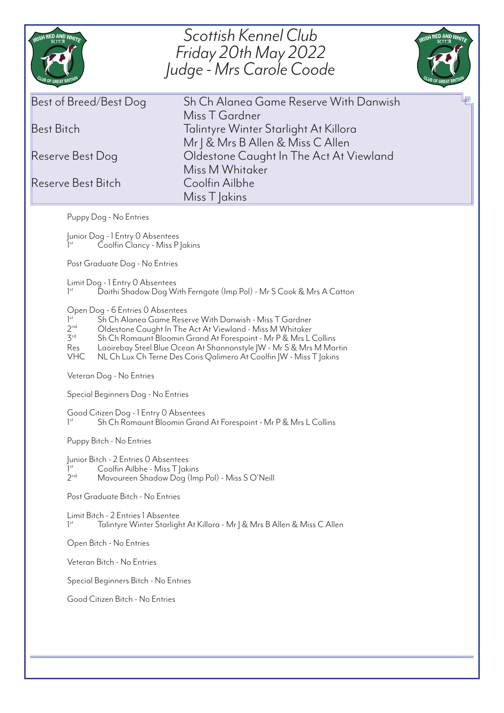